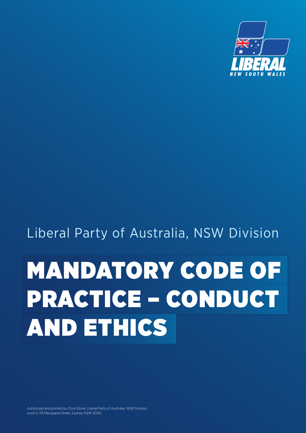

# Liberal Party of Australia, NSW Division

# MANDATORY CODE OF PRACTICE – CONDUCT AND ETHICS

Authorised and printed by Chris Stone, Liberal Party of Australia, NSW Division, Level 2, 131 Macquarie Street, Sydney NSW 2000.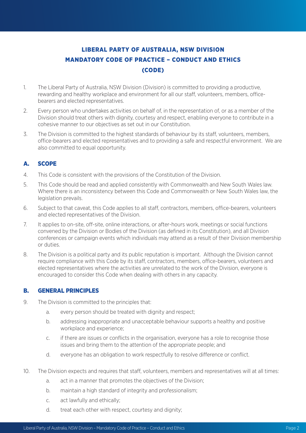# LIBERAL PARTY OF AUSTRALIA, NSW DIVISION MANDATORY CODE OF PRACTICE – CONDUCT AND ETHICS (CODE)

- 1. The Liberal Party of Australia, NSW Division (Division) is committed to providing a productive, rewarding and healthy workplace and environment for all our staff, volunteers, members, officebearers and elected representatives.
- 2. Every person who undertakes activities on behalf of, in the representation of, or as a member of the Division should treat others with dignity, courtesy and respect, enabling everyone to contribute in a cohesive manner to our objectives as set out in our Constitution.
- 3. The Division is committed to the highest standards of behaviour by its staff, volunteers, members, office-bearers and elected representatives and to providing a safe and respectful environment. We are also committed to equal opportunity.

## A. SCOPE

- 4. This Code is consistent with the provisions of the Constitution of the Division.
- 5. This Code should be read and applied consistently with Commonwealth and New South Wales law. Where there is an inconsistency between this Code and Commonwealth or New South Wales law, the legislation prevails.
- 6. Subject to that caveat, this Code applies to all staff, contractors, members, office-bearers, volunteers and elected representatives of the Division.
- 7. It applies to on-site, off-site, online interactions, or after-hours work, meetings or social functions convened by the Division or Bodies of the Division (as defined in its Constitution), and all Division conferences or campaign events which individuals may attend as a result of their Division membership or duties.
- 8. The Division is a political party and its public reputation is important. Although the Division cannot require compliance with this Code by its staff, contractors, members, office-bearers, volunteers and elected representatives where the activities are unrelated to the work of the Division, everyone is encouraged to consider this Code when dealing with others in any capacity.

### B. GENERAL PRINCIPLES

- 9. The Division is committed to the principles that:
	- a. every person should be treated with dignity and respect;
	- b. addressing inappropriate and unacceptable behaviour supports a healthy and positive workplace and experience;
	- c. if there are issues or conflicts in the organisation, everyone has a role to recognise those issues and bring them to the attention of the appropriate people; and
	- d. everyone has an obligation to work respectfully to resolve difference or conflict.
- 10. The Division expects and requires that staff, volunteers, members and representatives will at all times:
	- a. act in a manner that promotes the objectives of the Division;
	- b. maintain a high standard of integrity and professionalism;
	- c. act lawfully and ethically;
	- d. treat each other with respect, courtesy and dignity;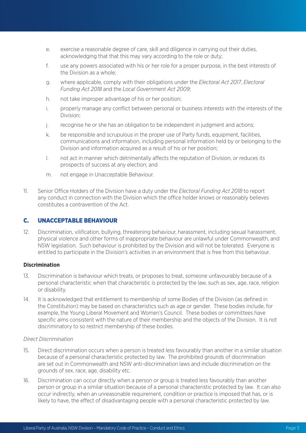- e. exercise a reasonable degree of care, skill and diligence in carrying out their duties, acknowledging that that this may vary according to the role or duty;
- f. use any powers associated with his or her role for a proper purpose, in the best interests of the Division as a whole;
- g. where applicable, comply with their obligations under the *Electoral Act 2017*, *Electoral Funding Act 2018* and the *Local Government Act 2009*;
- h. not take improper advantage of his or her position;
- i. properly manage any conflict between personal or business interests with the interests of the Division;
- j. recognise he or she has an obligation to be independent in judgment and actions;
- k. be responsible and scrupulous in the proper use of Party funds, equipment, facilities, communications and information, including personal information held by or belonging to the Division and information acquired as a result of his or her position;
- l. not act in manner which detrimentally affects the reputation of Division, or reduces its prospects of success at any election; and
- m. not engage in Unacceptable Behaviour.
- 11. Senior Office Holders of the Division have a duty under the *Electoral Funding Act 2018* to report any conduct in connection with the Division which the office holder knows or reasonably believes constitutes a contravention of the Act.

#### C. UNACCEPTABLE BEHAVIOUR

12. Discrimination, vilification, bullying, threatening behaviour, harassment, including sexual harassment, physical violence and other forms of inappropriate behaviour are unlawful under Commonwealth, and NSW legislation. Such behaviour is prohibited by the Division and will not be tolerated. Everyone is entitled to participate in the Division's activities in an environment that is free from this behaviour.

#### **Discrimination**

- 13. Discrimination is behaviour which treats, or proposes to treat, someone unfavourably because of a personal characteristic when that characteristic is protected by the law, such as sex, age, race, religion or disability.
- 14. It is acknowledged that entitlement to membership of some Bodies of the Division (as defined in the Constitution) may be based on characteristics such as age or gender. These bodies include, for example, the Young Liberal Movement and Women's Council. These bodies or committees have specific aims consistent with the nature of their membership and the objects of the Division. It is not discriminatory to so restrict membership of these bodies.

#### *Direct Discrimination*

- 15. Direct discrimination occurs when a person is treated less favourably than another in a similar situation because of a personal characteristic protected by law. The prohibited grounds of discrimination are set out in Commonwealth and NSW anti-discrimination laws and include discrimination on the grounds of sex, race, age, disability etc.
- 16. Discrimination can occur directly when a person or group is treated less favourably than another person or group in a similar situation because of a personal characteristic protected by law. It can also occur indirectly, when an unreasonable requirement, condition or practice is imposed that has, or is likely to have, the effect of disadvantaging people with a personal characteristic protected by law.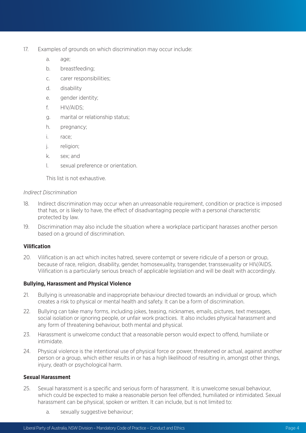- 17. Examples of grounds on which discrimination may occur include:
	- a. age;
	- b. breastfeeding;
	- c. carer responsibilities;
	- d. disability
	- e. gender identity;
	- f. HIV/AIDS;
	- g. marital or relationship status;
	- h. pregnancy;
	- i. race;
	- j. religion;
	- k. sex; and
	- l. sexual preference or orientation.

This list is not exhaustive.

#### *Indirect Discrimination*

- 18. Indirect discrimination may occur when an unreasonable requirement, condition or practice is imposed that has, or is likely to have, the effect of disadvantaging people with a personal characteristic protected by law.
- 19. Discrimination may also include the situation where a workplace participant harasses another person based on a ground of discrimination.

#### **Vilification**

20. Vilification is an act which incites hatred, severe contempt or severe ridicule of a person or group, because of race, religion, disability, gender, homosexuality, transgender, transsexuality or HIV/AIDS. Vilification is a particularly serious breach of applicable legislation and will be dealt with accordingly.

#### **Bullying, Harassment and Physical Violence**

- 21. Bullying is unreasonable and inappropriate behaviour directed towards an individual or group, which creates a risk to physical or mental health and safety. It can be a form of discrimination.
- 22. Bullying can take many forms, including jokes, teasing, nicknames, emails, pictures, text messages, social isolation or ignoring people, or unfair work practices. It also includes physical harassment and any form of threatening behaviour, both mental and physical.
- 23. Harassment is unwelcome conduct that a reasonable person would expect to offend, humiliate or intimidate.
- 24. Physical violence is the intentional use of physical force or power, threatened or actual, against another person or a group, which either results in or has a high likelihood of resulting in, amongst other things, injury, death or psychological harm.

#### **Sexual Harassment**

- 25. Sexual harassment is a specific and serious form of harassment. It is unwelcome sexual behaviour, which could be expected to make a reasonable person feel offended, humiliated or intimidated. Sexual harassment can be physical, spoken or written. It can include, but is not limited to:
	- a. sexually suggestive behaviour;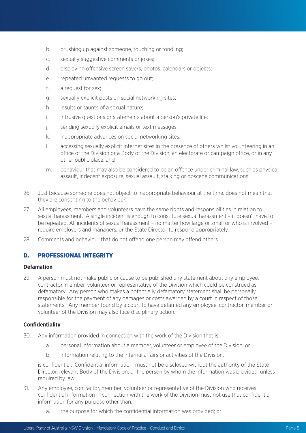- b. brushing up against someone, touching or fondling;
- c. sexually suggestive comments or jokes;
- d. displaying offensive screen savers, photos, calendars or objects;
- e. repeated unwanted requests to go out;
- f. a request for sex;
- g. sexually explicit posts on social networking sites;
- h. insults or taunts of a sexual nature;
- i. intrusive questions or statements about a person's private life;
- j. sending sexually explicit emails or text messages;
- k. inappropriate advances on social networking sites;
- l. accessing sexually explicit internet sites in the presence of others whilst volunteering in an office of the Division or a Body of the Division, an electorate or campaign office, or in any other public place; and
- m. behaviour that may also be considered to be an offence under criminal law, such as physical assault, indecent exposure, sexual assault, stalking or obscene communications.
- 26. Just because someone does not object to inappropriate behaviour at the time, does not mean that they are consenting to the behaviour.
- 27. All employees, members and volunteers have the same rights and responsibilities in relation to sexual harassment. A single incident is enough to constitute sexual harassment – it doesn't have to be repeated. All incidents of sexual harassment – no matter how large or small or who is involved – require employers and managers, or the State Director to respond appropriately.
- 28. Comments and behaviour that do not offend one person may offend others.

#### D. PROFESSIONAL INTEGRITY

#### **Defamation**

29. A person must not make public or cause to be published any statement about any employee, contractor, member, volunteer or representative of the Division which could be construed as defamatory. Any person who makes a potentially defamatory statement shall be personally responsible for the payment of any damages or costs awarded by a court in respect of those statements. Any member found by a court to have defamed any employee, contractor, member or volunteer of the Division may also face disciplinary action.

#### **Confidentiality**

- 30. Any information provided in connection with the work of the Division that is:
	- a. personal information about a member, volunteer or employee of the Division; or
	- b. information relating to the internal affairs or activities of the Division,

is confidential. Confidential information must not be disclosed without the authority of the State Director, relevant Body of the Division, or the person by whom the information was provided, unless required by law.

- 31. Any employee, contractor, member, volunteer or representative of the Division who receives confidential information in connection with the work of the Division must not use that confidential information for any purpose other than:
	- a. the purpose for which the confidential information was provided; or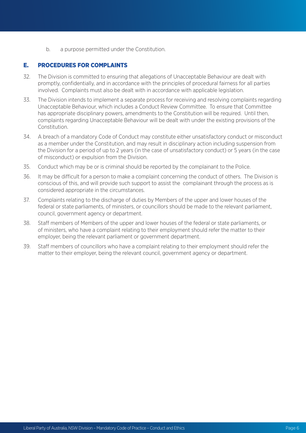b. a purpose permitted under the Constitution.

#### E. PROCEDURES FOR COMPLAINTS

- 32. The Division is committed to ensuring that allegations of Unacceptable Behaviour are dealt with promptly, confidentially, and in accordance with the principles of procedural fairness for all parties involved. Complaints must also be dealt with in accordance with applicable legislation.
- 33. The Division intends to implement a separate process for receiving and resolving complaints regarding Unacceptable Behaviour, which includes a Conduct Review Committee. To ensure that Committee has appropriate disciplinary powers, amendments to the Constitution will be required. Until then, complaints regarding Unacceptable Behaviour will be dealt with under the existing provisions of the Constitution.
- 34. A breach of a mandatory Code of Conduct may constitute either unsatisfactory conduct or misconduct as a member under the Constitution, and may result in disciplinary action including suspension from the Division for a period of up to 2 years (in the case of unsatisfactory conduct) or 5 years (in the case of misconduct) or expulsion from the Division.
- 35. Conduct which may be or is criminal should be reported by the complainant to the Police.
- 36. It may be difficult for a person to make a complaint concerning the conduct of others. The Division is conscious of this, and will provide such support to assist the complainant through the process as is considered appropriate in the circumstances.
- 37. Complaints relating to the discharge of duties by Members of the upper and lower houses of the federal or state parliaments, of ministers, or councillors should be made to the relevant parliament, council, government agency or department.
- 38. Staff members of Members of the upper and lower houses of the federal or state parliaments, or of ministers, who have a complaint relating to their employment should refer the matter to their employer, being the relevant parliament or government department.
- 39. Staff members of councillors who have a complaint relating to their employment should refer the matter to their employer, being the relevant council, government agency or department.